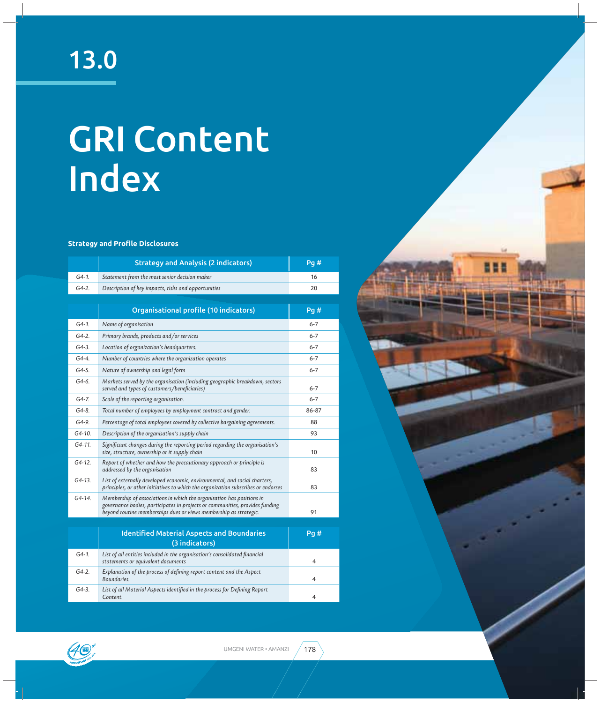# GRI Content Index

#### **Strategy and ProƬ le Disclosures**

|            | <b>Strategy and Analysis (2 indicators)</b>                                                                                                                                                                                | Pg#     |
|------------|----------------------------------------------------------------------------------------------------------------------------------------------------------------------------------------------------------------------------|---------|
| $G4-1.$    | Statement from the most senior decision maker                                                                                                                                                                              | 16      |
| $G4-2.$    | Description of key impacts, risks and opportunities                                                                                                                                                                        | 20      |
|            |                                                                                                                                                                                                                            |         |
|            | Organisational profile (10 indicators)                                                                                                                                                                                     | Pg#     |
| $G4-1.$    | Name of organisation                                                                                                                                                                                                       | $6 - 7$ |
| $G4-2.$    | Primary brands, products and/or services                                                                                                                                                                                   | $6 - 7$ |
| $G4-3.$    | Location of organization's headquarters.                                                                                                                                                                                   | $6 - 7$ |
| $G4-4.$    | Number of countries where the organization operates                                                                                                                                                                        | $6 - 7$ |
| $G4-5.$    | Nature of ownership and legal form                                                                                                                                                                                         | 6-7     |
| $G4-6.$    | Markets served by the organisation (including geographic breakdown, sectors<br>served and types of customers/beneficiaries)                                                                                                | $6 - 7$ |
| $G4 - 7.$  | Scale of the reporting organisation.                                                                                                                                                                                       | $6 - 7$ |
| $G4-8.$    | Total number of employees by employment contract and gender.                                                                                                                                                               | 86-87   |
| G4-9.      | Percentage of total employees covered by collective bargaining agreements.                                                                                                                                                 | 88      |
| G4-10.     | Description of the organisation's supply chain                                                                                                                                                                             | 93      |
| G4-11.     | Significant changes during the reporting period regarding the organisation's<br>size, structure, ownership or it supply chain                                                                                              | 10      |
| $G4 - 12.$ | Report of whether and how the precautionary approach or principle is<br>addressed by the organisation                                                                                                                      | 83      |
| G4-13.     | List of externally developed economic, environmental, and social charters,<br>principles, or other initiatives to which the organization subscribes or endorses                                                            | 83      |
| G4-14.     | Membership of associations in which the organisation has positions in<br>governance bodies, participates in projects or communities, provides funding<br>beyond routine memberships dues or views membership as strategic. | 91      |
|            |                                                                                                                                                                                                                            |         |
|            | <b>Identified Material Aspects and Boundaries</b><br>(3 indicators)                                                                                                                                                        | Pg#     |
| $G4-1.$    | List of all entities included in the organisation's consolidated financial<br>statements or equivalent documents                                                                                                           | 4       |
| $G4-2.$    | Explanation of the process of defining report content and the Aspect<br>Boundaries.                                                                                                                                        | 4       |
| $G4-3.$    | List of all Material Aspects identified in the process for Defining Report<br>Content.                                                                                                                                     | 4       |



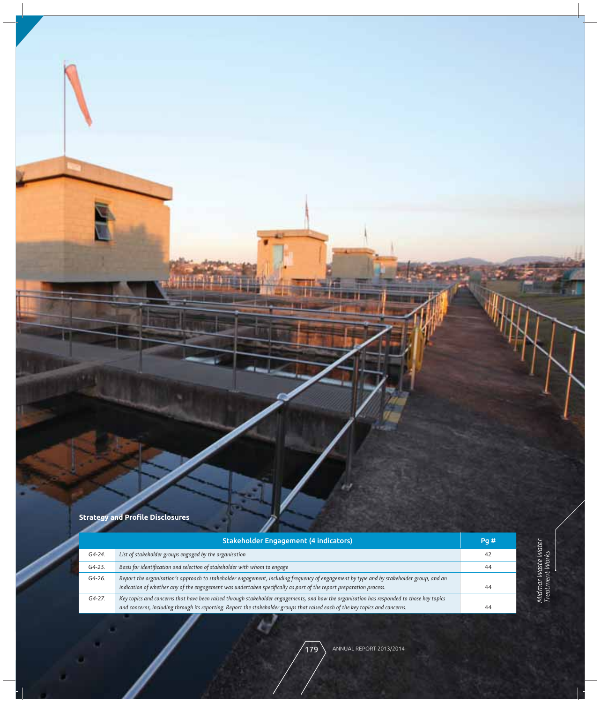# **Strategy and ProƬ le Disclosures**

|            | <b>Stakeholder Engagement (4 indicators)</b>                                                                                                                                                                                                                               | Pg# |
|------------|----------------------------------------------------------------------------------------------------------------------------------------------------------------------------------------------------------------------------------------------------------------------------|-----|
| G4-24.     | List of stakeholder groups engaged by the organisation                                                                                                                                                                                                                     | 42  |
| $G4 - 25.$ | Basis for identification and selection of stakeholder with whom to engage                                                                                                                                                                                                  | 44  |
| G4-26.     | Report the organisation's approach to stakeholder engagement, including frequency of engagement by type and by stakeholder group, and an<br>indication of whether any of the engagement was undertaken specifically as part of the report preparation process.             | 44  |
| G4-27.     | Key topics and concerns that have been raised through stakeholder engagements, and how the organisation has responded to those key topics<br>and concerns, including through its reporting. Report the stakeholder groups that raised each of the key topics and concerns. | 44  |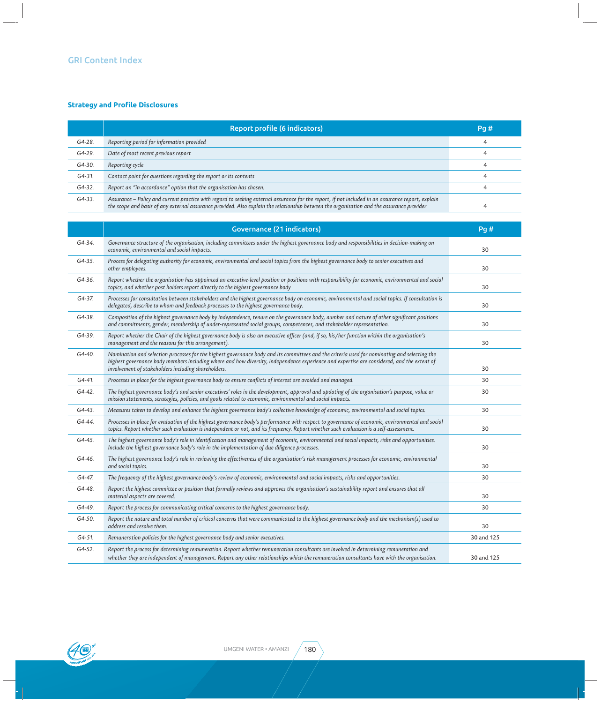# **Strategy and ProƬ le Disclosures**

|            | Report profile (6 indicators)                                                                                                                                                                                                                                                                  | Pq# |
|------------|------------------------------------------------------------------------------------------------------------------------------------------------------------------------------------------------------------------------------------------------------------------------------------------------|-----|
| G4-28.     | Reporting period for information provided                                                                                                                                                                                                                                                      |     |
| G4-29.     | Date of most recent previous report                                                                                                                                                                                                                                                            |     |
| G4-30.     | Reporting cycle                                                                                                                                                                                                                                                                                |     |
| G4-31.     | Contact point for questions regarding the report or its contents                                                                                                                                                                                                                               |     |
| $G4 - 32.$ | Report an "in accordance" option that the organisation has chosen.                                                                                                                                                                                                                             |     |
| G4-33.     | Assurance - Policy and current practice with regard to seeking external assurance for the report, if not included in an assurance report, explain<br>the scope and basis of any external assurance provided. Also explain the relationship between the organisation and the assurance provider |     |

|            | Governance (21 indicators)                                                                                                                                                                                                                                                                                                                        | Pg#        |
|------------|---------------------------------------------------------------------------------------------------------------------------------------------------------------------------------------------------------------------------------------------------------------------------------------------------------------------------------------------------|------------|
| G4-34.     | Governance structure of the organisation, including committees under the highest governance body and responsibilities in decision-making on<br>economic, environmental and social impacts.                                                                                                                                                        | 30         |
| G4-35.     | Process for delegating authority for economic, environmental and social topics from the highest governance body to senior executives and<br>other employees.                                                                                                                                                                                      | 30         |
| G4-36.     | Report whether the organisation has appointed an executive-level position or positions with responsibility for economic, environmental and social<br>topics, and whether post holders report directly to the highest governance body                                                                                                              | 30         |
| G4-37.     | Processes for consultation between stakeholders and the highest governance body on economic, environmental and social topics. If consultation is<br>delegated, describe to whom and feedback processes to the highest governance body.                                                                                                            | 30         |
| G4-38.     | Composition of the highest governance body by independence, tenure on the governance body, number and nature of other significant positions<br>and commitments, gender, membership of under-represented social groups, competences, and stakeholder representation.                                                                               | 30         |
| G4-39.     | Report whether the Chair of the highest governance body is also an executive officer (and, if so, his/her function within the organisation's<br>management and the reasons for this arrangement).                                                                                                                                                 | 30         |
| G4-40.     | Nomination and selection processes for the highest governance body and its committees and the criteria used for nominating and selecting the<br>highest governance body members including where and how diversity, independence experience and expertise are considered, and the extent of<br>involvement of stakeholders including shareholders. | 30         |
| G4-41.     | Processes in place for the highest governance body to ensure conflicts of interest are avoided and managed.                                                                                                                                                                                                                                       | 30         |
| G4-42.     | The highest governance body's and senior executives' roles in the development, approval and updating of the organisation's purpose, value or<br>mission statements, strategies, policies, and goals related to economic, environmental and social impacts.                                                                                        | 30         |
| $G4 - 43.$ | Measures taken to develop and enhance the highest governance body's collective knowledge of economic, environmental and social topics.                                                                                                                                                                                                            | 30         |
| G4-44.     | Processes in place for evaluation of the highest governance body's performance with respect to governance of economic, environmental and social<br>topics. Report whether such evaluation is independent or not, and its frequency. Report whether such evaluation is a self-assessment.                                                          | 30         |
| G4-45.     | The highest governance body's role in identification and management of economic, environmental and social impacts, risks and opportunities.<br>Include the highest governance body's role in the implementation of due diligence processes.                                                                                                       | 30         |
| G4-46.     | The highest governance body's role in reviewing the effectiveness of the organisation's risk management processes for economic, environmental<br>and social topics.                                                                                                                                                                               | 30         |
| G4-47.     | The frequency of the highest governance body's review of economic, environmental and social impacts, risks and opportunities.                                                                                                                                                                                                                     | 30         |
| G4-48.     | Report the highest committee or position that formally reviews and approves the organisation's sustainability report and ensures that all<br>material aspects are covered.                                                                                                                                                                        | 30         |
| G4-49.     | Report the process for communicating critical concerns to the highest governance body.                                                                                                                                                                                                                                                            | 30         |
| G4-50.     | Report the nature and total number of critical concerns that were communicated to the highest governance body and the mechanism(s) used to<br>address and resolve them.                                                                                                                                                                           | 30         |
| G4-51.     | Remuneration policies for the highest governance body and senior executives.                                                                                                                                                                                                                                                                      | 30 and 125 |
| G4-52.     | Report the process for determining remuneration. Report whether remuneration consultants are involved in determining remuneration and<br>whether they are independent of management. Report any other relationships which the remuneration consultants have with the organisation.                                                                | 30 and 125 |

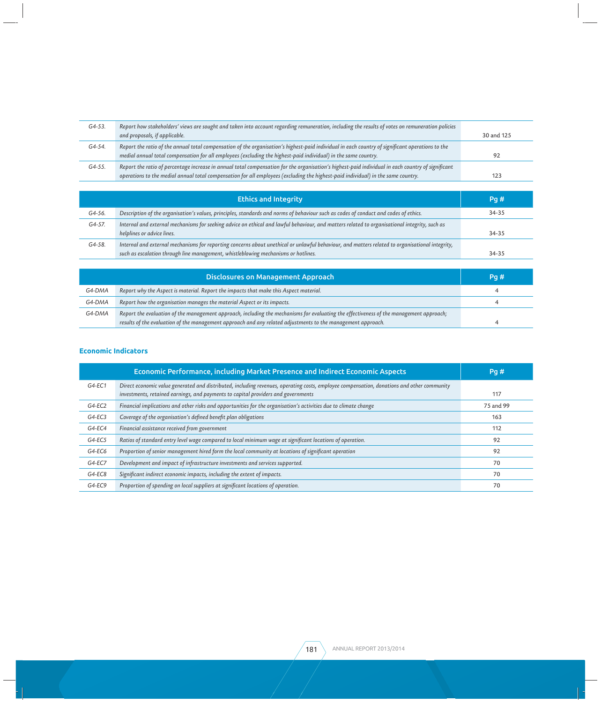| $G4 - 53.$ | Report how stakeholders' views are sought and taken into account regarding remuneration, including the results of votes on remuneration policies<br>and proposals, if applicable.                                                                                                       | 30 and 125 |
|------------|-----------------------------------------------------------------------------------------------------------------------------------------------------------------------------------------------------------------------------------------------------------------------------------------|------------|
| G4-54.     | Report the ratio of the annual total compensation of the organisation's highest-paid individual in each country of significant operations to the<br>medial annual total compensation for all employees (excluding the highest-paid individual) in the same country.                     | 92         |
| G4-55.     | Report the ratio of percentage increase in annual total compensation for the organisation's highest-paid individual in each country of significant<br>operations to the medial annual total compensation for all employees (excluding the highest-paid individual) in the same country. | 123        |
|            |                                                                                                                                                                                                                                                                                         |            |
|            | <b>Ethics and Integrity</b>                                                                                                                                                                                                                                                             | Pq#        |
| G4-56.     | Description of the organisation's values, principles, standards and norms of behaviour such as codes of conduct and codes of ethics.                                                                                                                                                    | 34-35      |
| G4-57.     | Internal and external mechanisms for seeking advice on ethical and lawful behaviour, and matters related to organisational integrity, such as<br>helplines or advice lines.                                                                                                             | 34-35      |
| G4-58.     | Internal and external mechanisms for reporting concerns about unethical or unlawful behaviour, and matters related to organisational integrity,<br>such as escalation through line management, whistleblowing mechanisms or hotlines.                                                   | 34-35      |
|            |                                                                                                                                                                                                                                                                                         |            |
|            | <b>Disclosures on Management Approach</b>                                                                                                                                                                                                                                               | Pg#        |
| G4-DMA     | Report why the Aspect is material. Report the impacts that make this Aspect material.                                                                                                                                                                                                   | 4          |
| G4-DMA     | Report how the organisation manages the material Aspect or its impacts.                                                                                                                                                                                                                 | 4          |
| G4-DMA     | Report the evaluation of the management approach, including the mechanisms for evaluating the effectiveness of the management approach;<br>results of the evaluation of the management approach and any related adjustments to the management approach.                                 | 4          |

#### **Economic Indicators**

|          | Economic Performance, including Market Presence and Indirect Economic Aspects                                                                                                                                                   | Pq#       |
|----------|---------------------------------------------------------------------------------------------------------------------------------------------------------------------------------------------------------------------------------|-----------|
| $G4-EC1$ | Direct economic value generated and distributed, including revenues, operating costs, employee compensation, donations and other community<br>investments, retained earnings, and payments to capital providers and governments | 117       |
| $G4-EC2$ | Financial implications and other risks and opportunities for the organisation's activities due to climate change                                                                                                                | 75 and 99 |
| $G4-EC3$ | Coverage of the organisation's defined benefit plan obligations                                                                                                                                                                 | 163       |
| G4-EC4   | Financial assistance received from government                                                                                                                                                                                   | 112       |
| $G4-EC5$ | Ratios of standard entry level wage compared to local minimum wage at significant locations of operation.                                                                                                                       | 92        |
| $G4-EC6$ | Proportion of senior management hired form the local community at locations of significant operation                                                                                                                            | 92        |
| G4-EC7   | Development and impact of infrastructure investments and services supported.                                                                                                                                                    | 70        |
| $G4-EC8$ | Significant indirect economic impacts, including the extent of impacts.                                                                                                                                                         | 70        |
| $G4-EC9$ | Proportion of spending on local suppliers at significant locations of operation.                                                                                                                                                | 70        |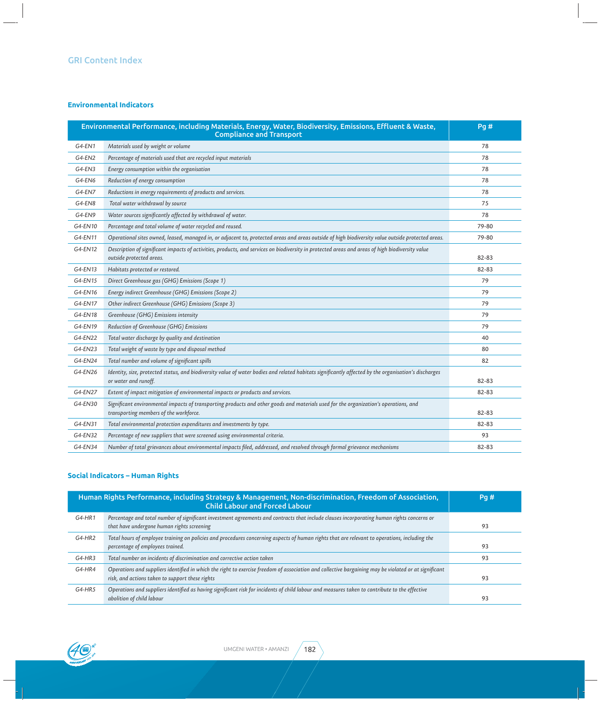# **Environmental Indicators**

| Environmental Performance, including Materials, Energy, Water, Biodiversity, Emissions, Effluent & Waste,<br><b>Compliance and Transport</b> |                                                                                                                                                                                | Pg#   |
|----------------------------------------------------------------------------------------------------------------------------------------------|--------------------------------------------------------------------------------------------------------------------------------------------------------------------------------|-------|
| G4-EN1                                                                                                                                       | Materials used by weight or volume                                                                                                                                             | 78    |
| G4-EN2                                                                                                                                       | Percentage of materials used that are recycled input materials                                                                                                                 | 78    |
| G4-EN3                                                                                                                                       | Energy consumption within the organisation                                                                                                                                     | 78    |
| G4-EN6                                                                                                                                       | Reduction of energy consumption                                                                                                                                                | 78    |
| G4-EN7                                                                                                                                       | Reductions in energy requirements of products and services.                                                                                                                    | 78    |
| G4-EN8                                                                                                                                       | Total water withdrawal by source                                                                                                                                               | 75    |
| G4-EN9                                                                                                                                       | Water sources significantly affected by withdrawal of water.                                                                                                                   | 78    |
| G4-EN10                                                                                                                                      | Percentage and total volume of water recycled and reused.                                                                                                                      | 79-80 |
| G4-EN11                                                                                                                                      | Operational sites owned, leased, managed in, or adjacent to, protected areas and areas outside of high biodiversity value outside protected areas.                             | 79-80 |
| G4-EN12                                                                                                                                      | Description of significant impacts of activities, products, and services on biodiversity in protected areas and areas of high biodiversity value<br>outside protected areas.   | 82-83 |
| G4-EN13                                                                                                                                      | Habitats protected or restored.                                                                                                                                                | 82-83 |
| G4-EN15                                                                                                                                      | Direct Greenhouse gas (GHG) Emissions (Scope 1)                                                                                                                                | 79    |
| G4-EN16                                                                                                                                      | Energy indirect Greenhouse (GHG) Emissions (Scope 2)                                                                                                                           | 79    |
| G4-EN17                                                                                                                                      | Other indirect Greenhouse (GHG) Emissions (Scope 3)                                                                                                                            | 79    |
| G4-EN18                                                                                                                                      | Greenhouse (GHG) Emissions intensity                                                                                                                                           | 79    |
| G4-EN19                                                                                                                                      | Reduction of Greenhouse (GHG) Emissions                                                                                                                                        | 79    |
| G4-EN22                                                                                                                                      | Total water discharge by quality and destination                                                                                                                               | 40    |
| G4-EN23                                                                                                                                      | Total weight of waste by type and disposal method                                                                                                                              | 80    |
| G4-EN24                                                                                                                                      | Total number and volume of significant spills                                                                                                                                  | 82    |
| G4-EN26                                                                                                                                      | Identity, size, protected status, and biodiversity value of water bodies and related habitats significantly affected by the organisation's discharges<br>or water and runoff.  | 82-83 |
| G4-EN27                                                                                                                                      | Extent of impact mitigation of environmental impacts or products and services.                                                                                                 | 82-83 |
| G4-EN30                                                                                                                                      | Significant environmental impacts of transporting products and other goods and materials used for the organization's operations, and<br>transporting members of the workforce. | 82-83 |
| G4-EN31                                                                                                                                      | Total environmental protection expenditures and investments by type.                                                                                                           | 82-83 |
| G4-EN32                                                                                                                                      | Percentage of new suppliers that were screened using environmental criteria.                                                                                                   | 93    |
| G4-EN34                                                                                                                                      | Number of total grievances about environmental impacts filed, addressed, and resolved through formal grievance mechanisms                                                      | 82-83 |

# **Social Indicators – Human Rights**

| Human Rights Performance, including Strategy & Management, Non-discrimination, Freedom of Association,<br><b>Child Labour and Forced Labour</b> |                                                                                                                                                                                                          | Pa# |
|-------------------------------------------------------------------------------------------------------------------------------------------------|----------------------------------------------------------------------------------------------------------------------------------------------------------------------------------------------------------|-----|
| G4-HR1                                                                                                                                          | Percentage and total number of significant investment agreements and contracts that include clauses incorporating human rights concerns or<br>that have undergone human rights screening                 | 93  |
| $G4-HR2$                                                                                                                                        | Total hours of employee training on policies and procedures concerning aspects of human rights that are relevant to operations, including the<br>percentage of employees trained.                        | 93  |
| $G4-HR3$                                                                                                                                        | Total number on incidents of discrimination and corrective action taken                                                                                                                                  | 93  |
| G4-HR4                                                                                                                                          | Operations and suppliers identified in which the right to exercise freedom of association and collective bargaining may be violated or at significant<br>risk, and actions taken to support these rights | 93  |
| G4-HR5                                                                                                                                          | Operations and suppliers identified as having significant risk for incidents of child labour and measures taken to contribute to the effective<br>abolition of child labour                              | 93  |